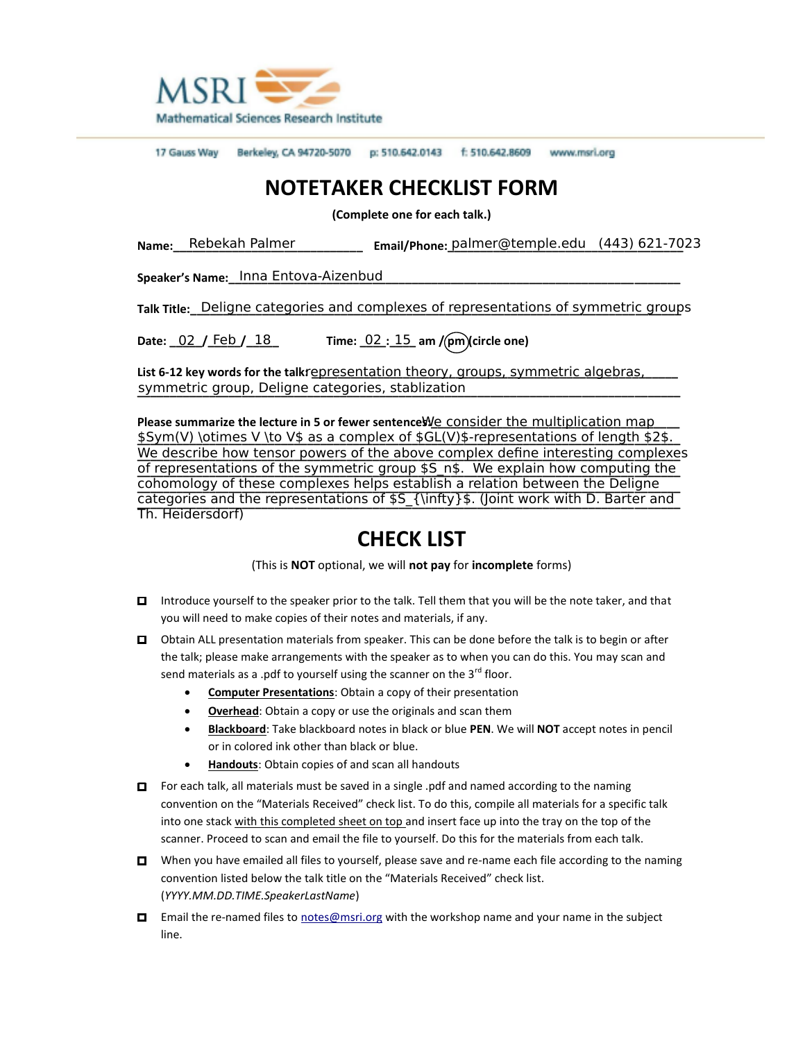

17 Gauss Way Berkeley, CA 94720-5070 p: 510.642.0143 f: 510.642.8609 www.msri.org

## **NOTETAKER CHECKLIST FORM**

**(Complete one for each talk.)**

Name:\_\_\_Rebekah Palmer \_\_\_\_\_\_\_\_\_\_\_\_\_\_\_\_\_\_ Email/Phone: <u>palmer@temple.edu (443)621-70</u>23

**Speaker's Name:\_\_\_\_\_\_\_\_\_\_\_\_\_\_\_\_\_\_\_\_\_\_\_\_\_\_\_\_\_\_\_\_\_\_\_\_\_\_\_\_\_\_\_\_\_\_\_\_\_\_\_\_\_\_\_\_\_\_\_\_\_\_\_\_\_\_\_\_\_** Inna Entova-Aizenbud

**Talk Title:** Deligne categories and complexes of representations of symmetric groups

**Date: \_\_\_\_\_/\_\_\_\_\_/\_\_\_\_\_ Time: \_\_\_\_:\_\_\_\_ am / pm (circle one)** 02 15 Date:  $02 /$  Feb  $/ 18$ 

**List 612 key words for the talk: \_\_\_\_\_\_\_\_\_\_\_\_\_\_\_\_\_\_\_\_\_\_\_\_\_\_\_\_\_\_\_\_\_\_\_\_\_\_\_\_\_\_\_\_\_\_\_\_\_\_\_\_\_\_\_\_** representation theory, groups, symmetric algebras, **\_\_\_\_\_\_\_\_\_\_\_\_\_\_\_\_\_\_\_\_\_\_\_\_\_\_\_\_\_\_\_\_\_\_\_\_\_\_\_\_\_\_\_\_\_\_\_\_\_\_\_\_\_\_\_\_\_\_\_\_\_\_\_\_\_\_\_\_\_\_\_\_\_\_\_\_\_\_\_\_\_\_\_** symmetric group, Deligne categories, stablization

Please summarize the lecture in 5 or fewer sentenceWe consider the multiplication map \$Sym(V) \otimes V \to V\$ as a complex of \$GL(V)\$-representations of length \$2\$. <u>We describe how tensor powers of the above complex define interesting complexe</u>s of representations of the symmetric group \$S\_n\$. We explain how computing the **\_\_\_\_\_\_\_\_\_\_\_\_\_\_\_\_\_\_\_\_\_\_\_\_\_\_\_\_\_\_\_\_\_\_\_\_\_\_\_\_\_\_\_\_\_\_\_\_\_\_\_\_\_\_\_\_\_\_\_\_\_\_\_\_\_\_\_\_\_\_\_\_\_\_\_\_\_\_\_\_\_\_\_** cohomology of these complexes helps establish a relation between the Deligne categories and the representations of \$S\_{\infty}\$. (Joint work with D. Barter and Th. Heidersdorf)

## **CHECK LIST**

(This is **NOT** optional, we will **not pay** for **incomplete** forms)

- □ Introduce yourself to the speaker prior to the talk. Tell them that you will be the note taker, and that you will need to make copies of their notes and materials, if any.
- □ Obtain ALL presentation materials from speaker. This can be done before the talk is to begin or after the talk; please make arrangements with the speaker as to when you can do this. You may scan and send materials as a .pdf to yourself using the scanner on the  $3^{rd}$  floor.
	- **Computer Presentations**: Obtain a copy of their presentation
	- **Overhead**: Obtain a copy or use the originals and scan them
	- **Blackboard**: Take blackboard notes in black or blue **PEN**. We will **NOT** accept notes in pencil or in colored ink other than black or blue.
	- **Handouts**: Obtain copies of and scan all handouts
- □ For each talk, all materials must be saved in a single .pdf and named according to the naming convention on the "Materials Received" check list. To do this, compile all materials for a specific talk into one stack with this completed sheet on top and insert face up into the tray on the top of the scanner. Proceed to scan and email the file to yourself. Do this for the materials from each talk.
- $\Box$  When you have emailed all files to yourself, please save and re-name each file according to the naming convention listed below the talk title on the "Materials Received" check list. (*YYYY.MM.DD.TIME.SpeakerLastName*)
- □ Email the re-named files to notes@msri.org with the workshop name and your name in the subject line.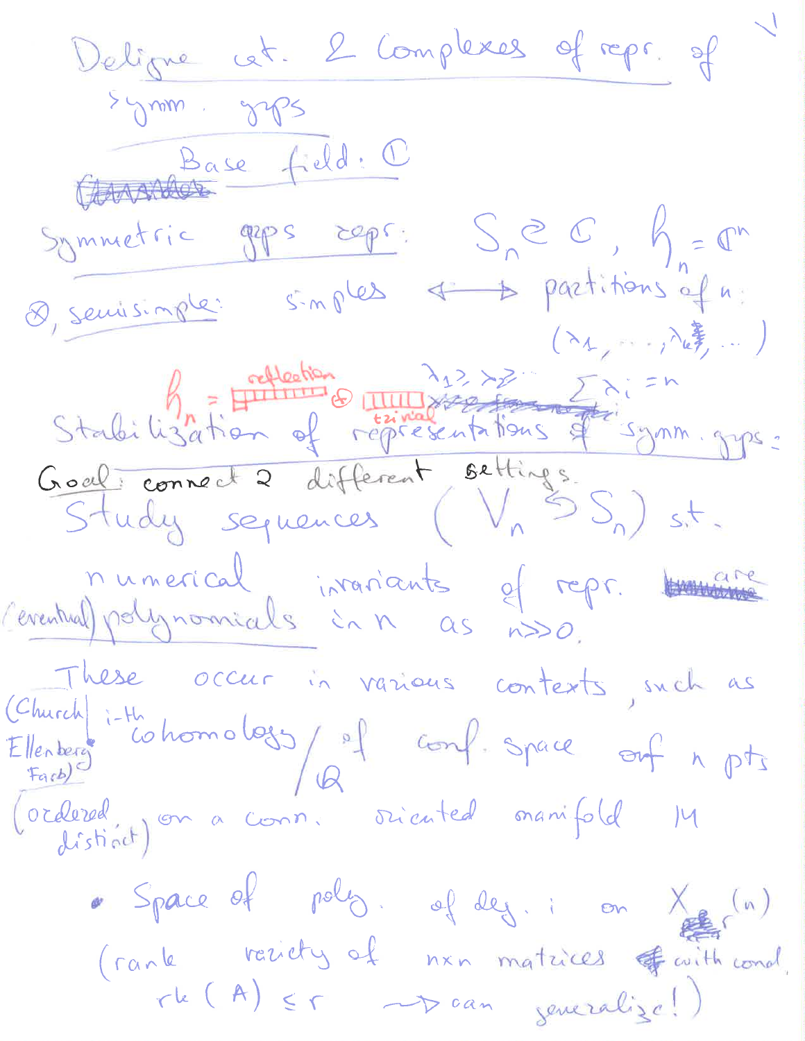Deligne cet. 2 Complexes of repr. of Generale feld. C Symmetric geps reps:  $S_n e C, K_n = C^n$ 8, seuisingle: singles + 5 partitions of n: Stabilization of representations of symm gyps: Goal connect 2 différent settings.<br>Study sequences (Vn SS) sit. numerical invariants of repr. tomare These occur in various contexts, such as (Church it cohomology of conf. space out n pts<br>Ellenberg cohomology of conf. space out n pts<br>(ordered, on a conn. sriented manifold 14 · Space of poly. of deg. : on X (n) (rank variety of nen matrices of with cond.<br>The (A)  $\leq r$  -p can jeneralize!)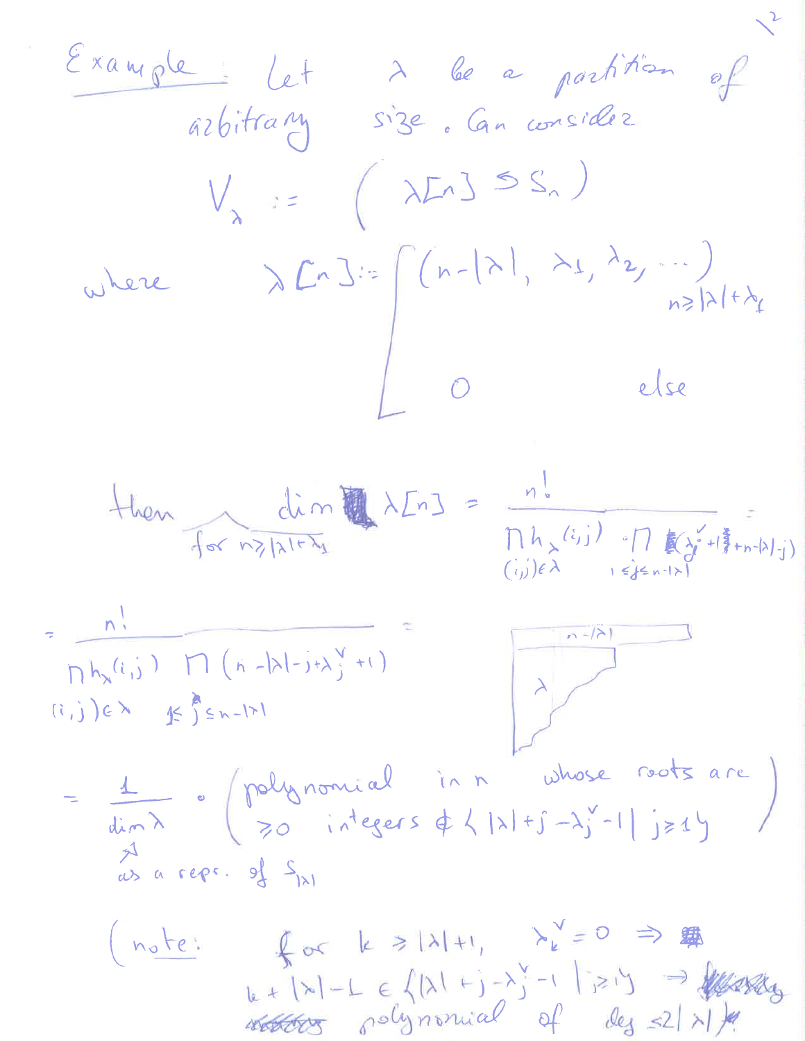| Example                                                  | Leit any                                                            | See a particular         | for a linear |   |   |   |
|----------------------------------------------------------|---------------------------------------------------------------------|--------------------------|--------------|---|---|---|
| $V_{\lambda} := (\lambda L_1)^{\frac{1}{2}} S_{\lambda}$ | $\sqrt{L_1} S_{\lambda}$                                            | $\sqrt{L_2} S_{\lambda}$ |              |   |   |   |
| where                                                    | $\lambda L_1 S_{\lambda} = (\lambda L_1)^{\frac{1}{2}} S_{\lambda}$ | $\frac{1}{2}$            |              |   |   |   |
| 1                                                        | 1                                                                   | 1                        | 1            | 1 | 1 | 1 |
| 1                                                        | 1                                                                   | 1                        | 1            | 1 |   |   |
| 1                                                        | 1                                                                   | 1                        | 1            |   |   |   |
| 1                                                        | 1                                                                   | 1                        | 1            |   |   |   |
| 1                                                        | 1                                                                   | 1                        |              |   |   |   |
| 1                                                        | 1                                                                   | 1                        |              |   |   |   |
| 1                                                        | 1                                                                   | 1                        |              |   |   |   |
| 1                                                        | 1                                                                   | 1                        |              |   |   |   |
| 1                                                        | 1                                                                   | 1                        |              |   |   |   |
| 1                                                        | 1                                                                   | 1                        |              |   |   |   |
| 1                                                        | 1                                                                   | 1                        |              |   |   |   |
| 1                                                        | 1                                                                   | 1                        |              |   |   |   |
| 1                                                        | 1                                                                   | 1                        |              |   |   |   |
| 1                                                        | 1                                                                   |                          |              |   |   |   |
| 1                                                        | 1                                                                   |                          |              |   |   |   |
| 1                                                        | 1                                                                   |                          |              |   |   |   |
| 1                                                        | 1                                                                   |                          |              |   |   |   |
| 1                                                        | 1                                                                   |                          |              |   |   |   |
| 1                                                        | 1                                                                   |                          |              |   |   |   |
| 1                                                        | 1                                                                   |                          |              |   |   |   |
| 1                                                        |                                                                     |                          |              |   |   |   |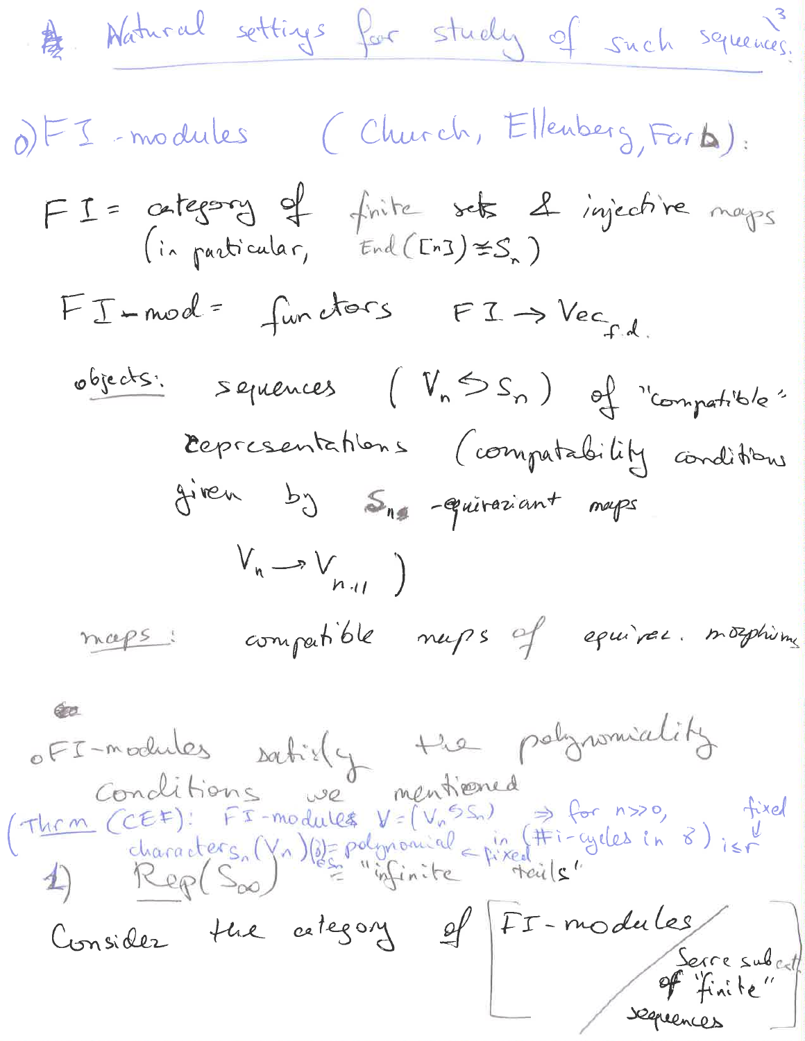A Natural settings for study of such squeenes. OFI-modules (Church, Ellenberg, Farb): FI= category of finite sets & injective maps  $FT-model = func$ d= functors  $FT \rightarrow Vec_{fid}$ objects: sepiences ( $V_{n}SS_{n}$ ) of "compatible" representations (compatability conditions given by  $S_{1}$  -quivariant maps  $V_n \rightarrow V_{n+l}$ maps: compatible muss of equiver. mosphirms OFI-modules satisfy the polynomiality (Thrm (CEF): FI-modules V= (Vn SS) => for n>>0, fixed<br>characters, (Yn) (s)= polynomial = pixed Fi-cycles in 8) is r<br>4) Rep(Soo) les "infinite teils" Consider the cetegory of FI-modules Serre subert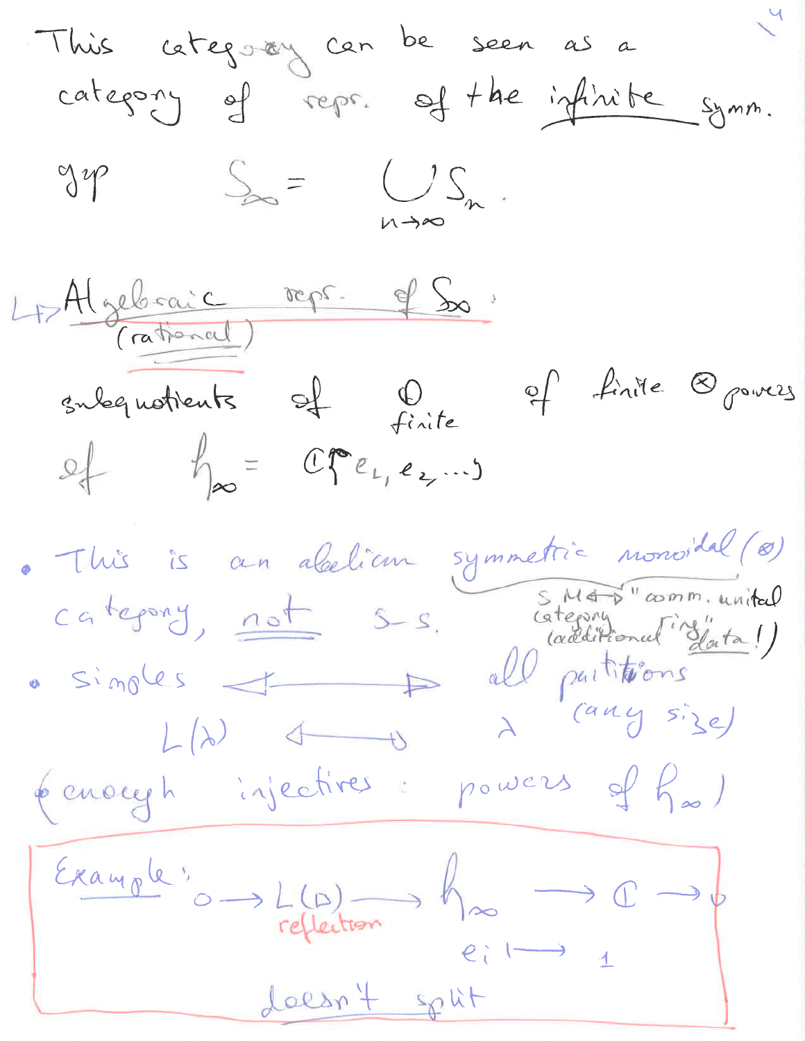This cetegoay can be seen as a  $\gamma$  $S_{\infty} = \bigcup_{n \to \infty} S_n$ . 4-Algebraic repr. of So. subquotients of finite<br>of  $f_{\infty} = C\mathcal{F}e_{L_1}e_{L_2}...$ of finite Opowers · This is an abelian symmetric nonvital (0) category, not sus category, not suited (additional "slata!) penacyh injectives: powers of  $f_\infty$ ) Example:  $L(B) \longrightarrow L(B) \longrightarrow \emptyset \longrightarrow C \longrightarrow \emptyset$ <br>eil = 1

doesn't split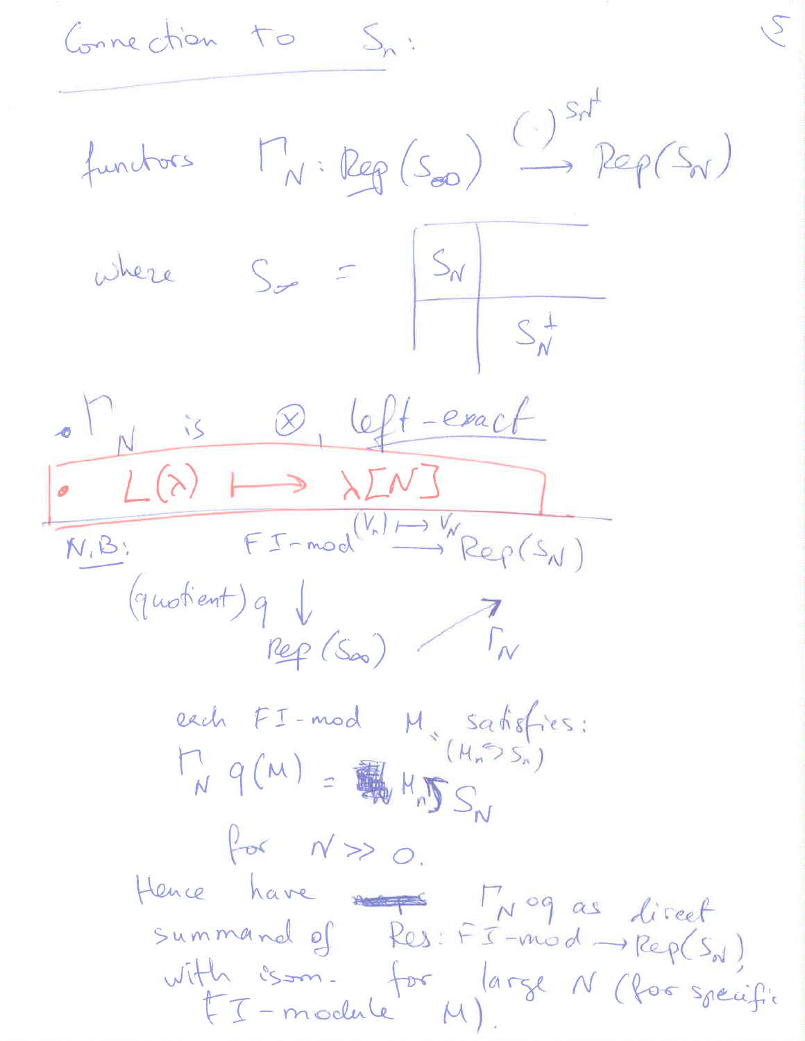Connection to Sn: functors  $\Gamma_N: \text{Reg}(S_{\infty}) \stackrel{(\cdot)^{S_N^+}}{\longrightarrow} \text{Rep}(S_N)$ where  $S_{\nabla} = \frac{|S_{N}|}{|S_{N}^{+}|}$  $\circ$   $\int_{N}^{N}$  is  $\otimes$  left-exact  $\sim$   $L(\lambda)$   $\mapsto$   $\lambda L N$   $\supset$  $N.B.$   $FT-mod^{(V_n) \rightarrow V_{N}}Rep(S_N)$ (quotient) q \  $9V$ <br> $7N$ each FI-mod M satisfies:<br>M a (1) = (Mn Ssn)  $M_{W}$   $q(M) = \frac{1}{2} M_{H} M_{D} S_{N}$ for  $N \gg 0$ . Hence have not Mogas liseet summand of Res: FI-mod -Rep(SN) with isom. for large N (for specific FI-module M).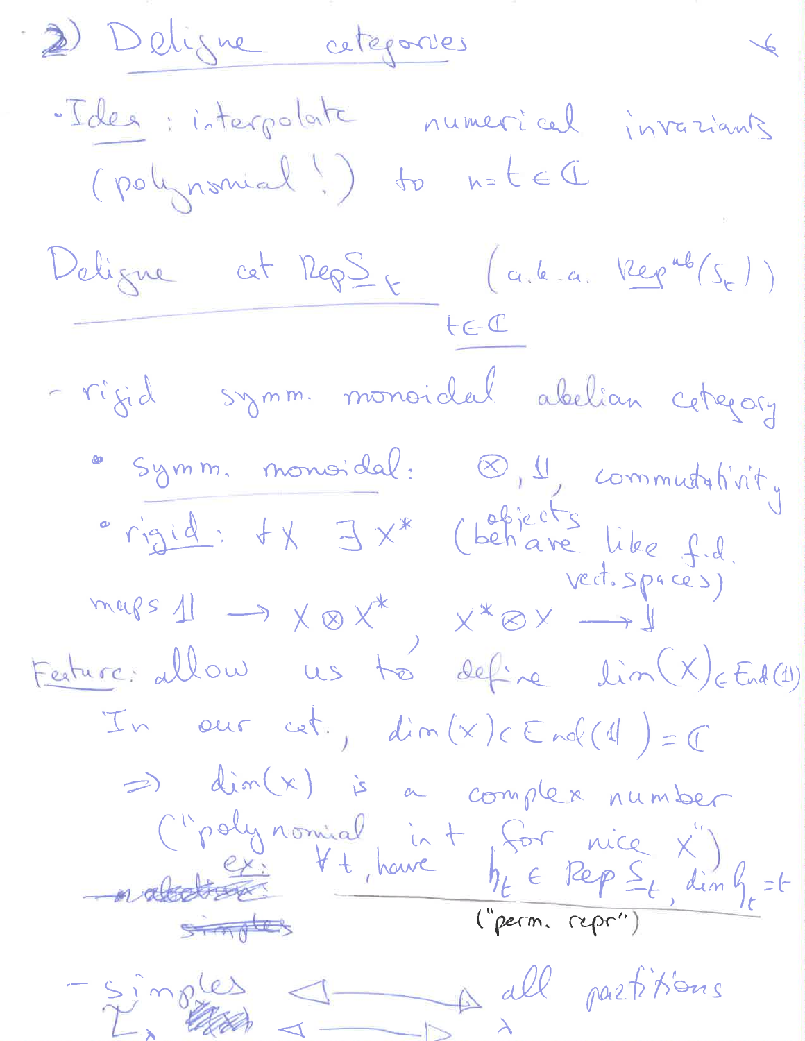2) Deligne cetegories  $\overline{\phantom{a}}$ -Idea interpolate numerical invasiants (polynomial!) to n=tel Deligne cet Rep $\frac{S}{T}$  (a.l.a. Kepub/s, 1) - rigid symm. monoidal abelian cetegory "Symm. monoidal: 8,4, communtativity<br>"rigid: IX" (behave like f.d.<br>mars 11 -> X & X", x" & X" +1 Festure: allow us to define lin (X) End (1) In our cet.,  $dim(x) \in End(1) = 0$ => dim(x) is a complex number C"polynomial in + for nice x")<br>- natations + + houre  $h_t \in Rep \leq_t$ , dim  $g_t = t$ -simples 1 Adl partitions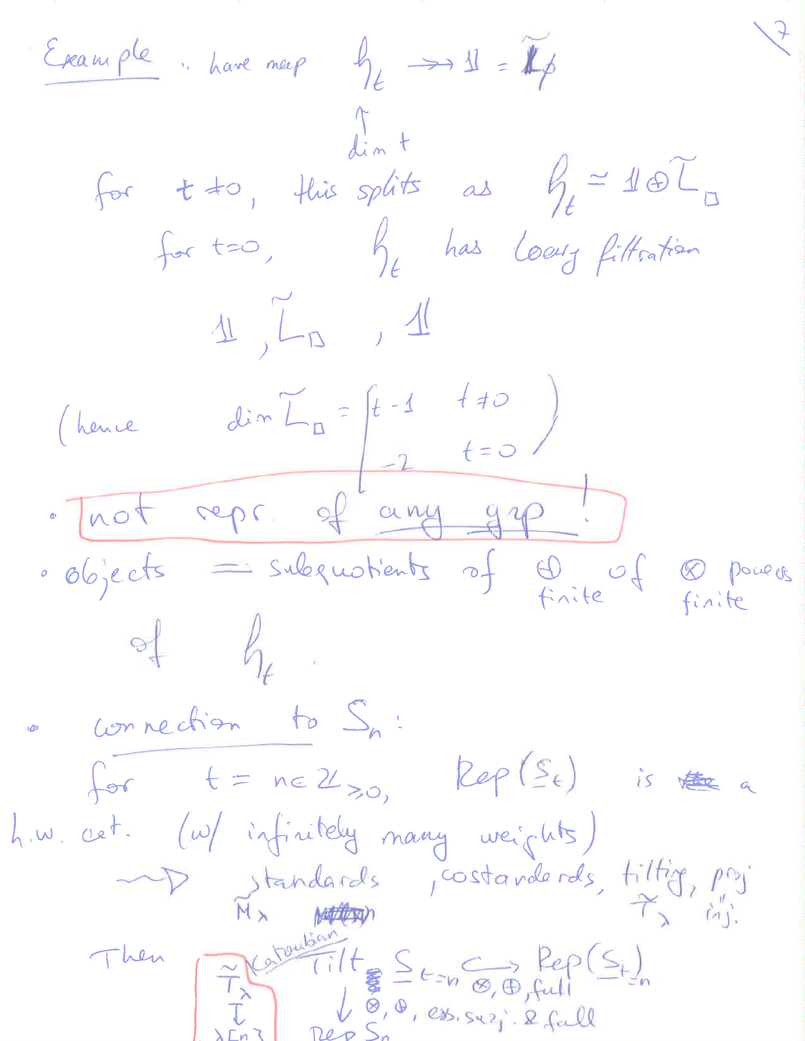Example : have meep  $\oint_{\mathcal{L}} \longrightarrow 1 \quad = \mathbb{Z}_p$ for  $t \neq 0$ , this splits as  $\int_{t}^{2} 16\tau \, dt$ for t=0, by has locus filtration  $1/\sqrt{2}$ (hence  $dim L_{\text{m}} = \begin{pmatrix} t-1 & t+0 \\ -2 & t=0 \end{pmatrix}$ · Trot repr of any grp! · objects = subquotients of  $\bigoplus_{\text{finite}}$  of  $\bigotimes_{\text{finite}}$  powers  $\frac{1}{2}$ connection to  $S_n$ : for  $t = ne \mathcal{U}_{\geq 0},$  Rep $(\mathcal{S}_t)$  is the a how cet. (w/ infinitely many weights) Vandards costanderds, tiltig, proj Then Fratouban  $Tilt \n\begin{array}{rcl}\n\sum E_{2n} & \sum_{f \in \mathcal{F}} \text{Rep}(S_t) \\
\sum_{f \in \mathcal{F}} \mathcal{F}_{2n} & \sum_{f \in \mathcal{F}} \text{Rep}(S_t) \\
\sum_{f \in \mathcal{F}} \mathcal{F}_{2n} & \sum_{f \in \mathcal{F}} \text{Rep}(S_t)\n\end{array}$ ret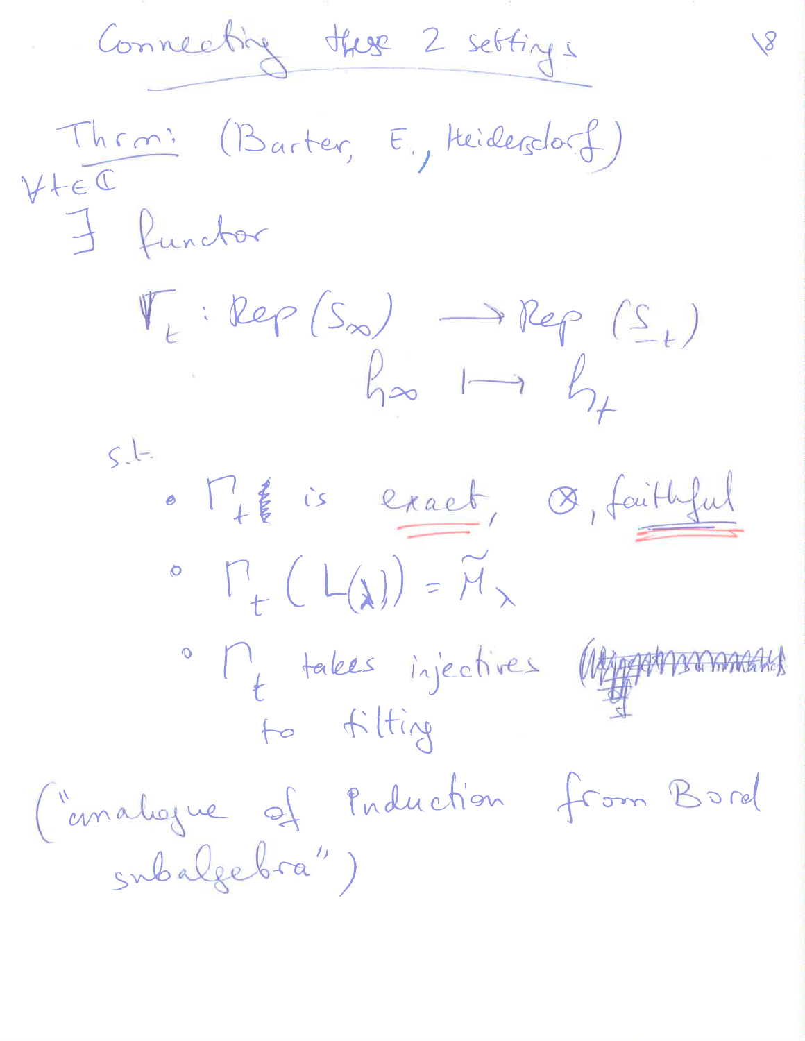Connecting these 2 settings Thrm: (Barter, E., Heidersdorf) I functor  $\mathbb{V}_{t} : Rep(S_{\infty}) \longrightarrow Rep(S_{t})$  $h_{\infty} \longmapsto h_{\neq}$  $5 - 1$ · Mig is exact, De, faithful  $\circ$   $\Gamma_{+}(L(\lambda)) = \widetilde{M}_{\lambda}$ · My takes injectives WARA to filting Cimalogue of Puduction from Bord subalgebra")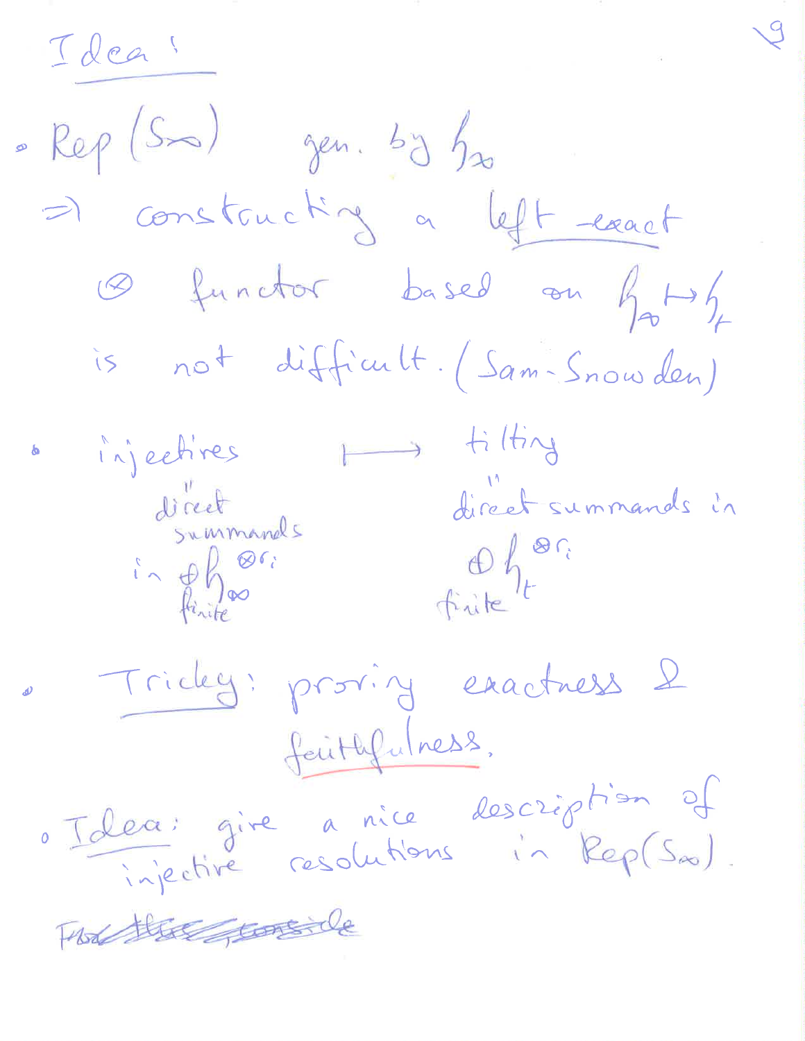Ideas

 $Re\rho$  (Sm) gen. by  $f_{x_0}$ => constructing a left exact O functor based on hoppy is not difficult. (Sam-Snowden) injectives my tilting direct summands<br>in phone direct summands in<br>in phone finite finite Tricky: proving exactness & faithfulness, o Idea: gire a nice description of The there tonede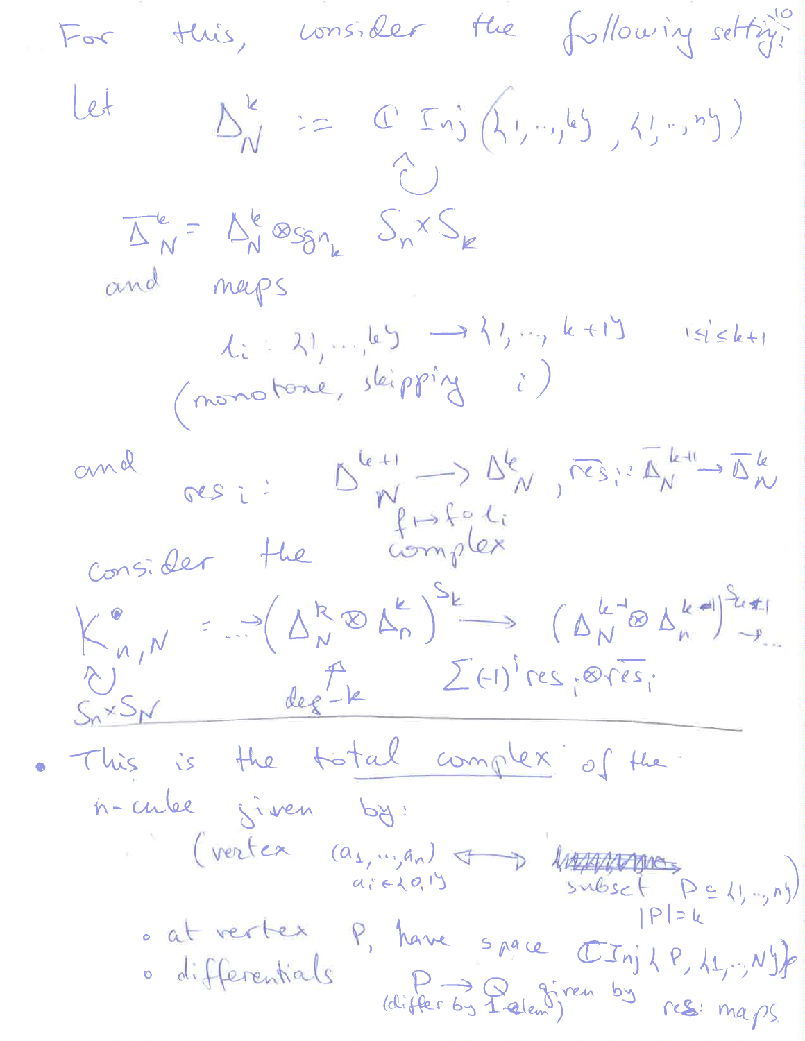this, consider the following setting!  $F_{\sigma}$  $\Delta_N^k := C \operatorname{Inj}\left(\{1,..,k\},\{1,..,n\}\right)$ Let  $\hat{C}$  $\overline{\Delta}_N^k = \Delta_N^k \otimes_{\mathcal{S}_{n_k}} \mathcal{S}_n^{\times} \mathcal{S}_k$ and neps 1: 21, 1 65 -> 11, 1, 1, 1  $|s| \leq k+1$ (monotone, skipping i) and resi:  $D_{W}^{k+1} \rightarrow D_{W}^{k}$ , respectively  $K_{n,N}^{\bullet} = \left( \Delta_{N}^{R} \otimes \Delta_{n}^{k} \right)^{S_{k}} \longrightarrow \left( \Delta_{N}^{k-q} \otimes \Delta_{n}^{k-q} \right)^{S_{kq}}$ SixSN des le  $\Sigma$ (-1) res; ores; . This is the total complex of the n-cube siven by: (vertex  $(a_1, ..., a_n)$  of ) lumber  $p \in \{1, ..., n\}$ <br> $a_i \in \{0, 1\}$  subset  $p \in \{1, ..., n\}$ o at vertex, P, have space  $CTnj\nmid P, \nmid 1, \nmid y$ o differentials (differ by falem) cs: maps.